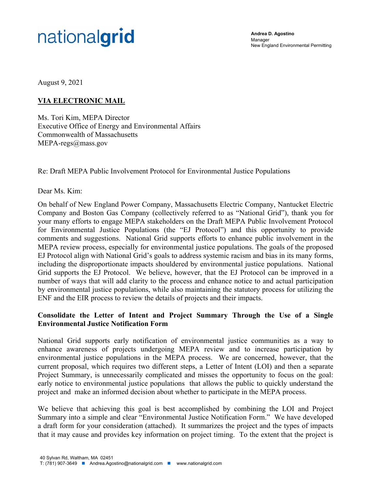# nationalgrid

**Andrea D. Agostino**  Manager New England Environmental Permitting

August 9, 2021

# **VIA ELECTRONIC MAIL**

Ms. Tori Kim, MEPA Director Executive Office of Energy and Environmental Affairs Commonwealth of Massachusetts MEPA-regs@mass.gov

Re: Draft MEPA Public Involvement Protocol for Environmental Justice Populations

Dear Ms. Kim:

On behalf of New England Power Company, Massachusetts Electric Company, Nantucket Electric Company and Boston Gas Company (collectively referred to as "National Grid"), thank you for your many efforts to engage MEPA stakeholders on the Draft MEPA Public Involvement Protocol for Environmental Justice Populations (the "EJ Protocol") and this opportunity to provide comments and suggestions. National Grid supports efforts to enhance public involvement in the MEPA review process, especially for environmental justice populations. The goals of the proposed EJ Protocol align with National Grid's goals to address systemic racism and bias in its many forms, including the disproportionate impacts shouldered by environmental justice populations. National Grid supports the EJ Protocol. We believe, however, that the EJ Protocol can be improved in a number of ways that will add clarity to the process and enhance notice to and actual participation by environmental justice populations, while also maintaining the statutory process for utilizing the ENF and the EIR process to review the details of projects and their impacts.

#### **Consolidate the Letter of Intent and Project Summary Through the Use of a Single Environmental Justice Notification Form**

National Grid supports early notification of environmental justice communities as a way to enhance awareness of projects undergoing MEPA review and to increase participation by environmental justice populations in the MEPA process. We are concerned, however, that the current proposal, which requires two different steps, a Letter of Intent (LOI) and then a separate Project Summary, is unnecessarily complicated and misses the opportunity to focus on the goal: early notice to environmental justice populations that allows the public to quickly understand the project and make an informed decision about whether to participate in the MEPA process.

We believe that achieving this goal is best accomplished by combining the LOI and Project Summary into a simple and clear "Environmental Justice Notification Form." We have developed a draft form for your consideration (attached). It summarizes the project and the types of impacts that it may cause and provides key information on project timing. To the extent that the project is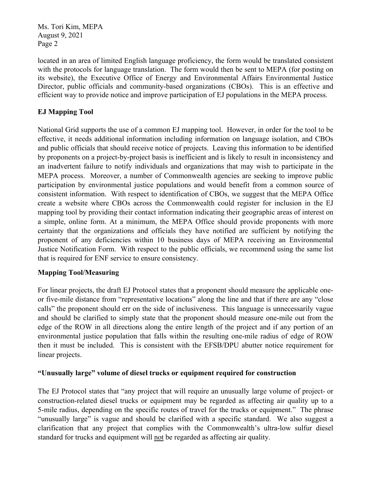Ms. Tori Kim, MEPA August 9, 2021 Page 2

located in an area of limited English language proficiency, the form would be translated consistent with the protocols for language translation. The form would then be sent to MEPA (for posting on its website), the Executive Office of Energy and Environmental Affairs Environmental Justice Director, public officials and community-based organizations (CBOs). This is an effective and efficient way to provide notice and improve participation of EJ populations in the MEPA process.

# **EJ Mapping Tool**

National Grid supports the use of a common EJ mapping tool. However, in order for the tool to be effective, it needs additional information including information on language isolation, and CBOs and public officials that should receive notice of projects. Leaving this information to be identified by proponents on a project-by-project basis is inefficient and is likely to result in inconsistency and an inadvertent failure to notify individuals and organizations that may wish to participate in the MEPA process. Moreover, a number of Commonwealth agencies are seeking to improve public participation by environmental justice populations and would benefit from a common source of consistent information. With respect to identification of CBOs, we suggest that the MEPA Office create a website where CBOs across the Commonwealth could register for inclusion in the EJ mapping tool by providing their contact information indicating their geographic areas of interest on a simple, online form. At a minimum, the MEPA Office should provide proponents with more certainty that the organizations and officials they have notified are sufficient by notifying the proponent of any deficiencies within 10 business days of MEPA receiving an Environmental Justice Notification Form. With respect to the public officials, we recommend using the same list that is required for ENF service to ensure consistency.

## **Mapping Tool/Measuring**

For linear projects, the draft EJ Protocol states that a proponent should measure the applicable oneor five-mile distance from "representative locations" along the line and that if there are any "close calls" the proponent should err on the side of inclusiveness. This language is unnecessarily vague and should be clarified to simply state that the proponent should measure one-mile out from the edge of the ROW in all directions along the entire length of the project and if any portion of an environmental justice population that falls within the resulting one-mile radius of edge of ROW then it must be included. This is consistent with the EFSB/DPU abutter notice requirement for linear projects.

#### **"Unusually large" volume of diesel trucks or equipment required for construction**

The EJ Protocol states that "any project that will require an unusually large volume of project‐ or construction‐related diesel trucks or equipment may be regarded as affecting air quality up to a 5-mile radius, depending on the specific routes of travel for the trucks or equipment." The phrase "unusually large" is vague and should be clarified with a specific standard. We also suggest a clarification that any project that complies with the Commonwealth's ultra-low sulfur diesel standard for trucks and equipment will not be regarded as affecting air quality.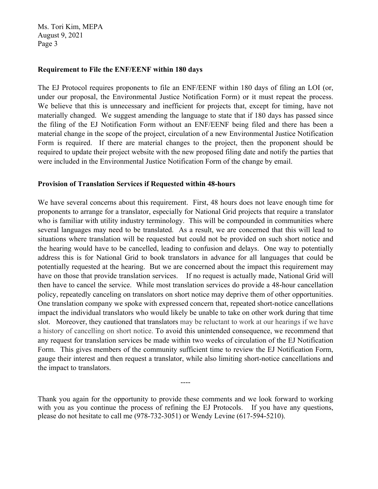Ms. Tori Kim, MEPA August 9, 2021 Page 3

#### **Requirement to File the ENF/EENF within 180 days**

The EJ Protocol requires proponents to file an ENF/EENF within 180 days of filing an LOI (or, under our proposal, the Environmental Justice Notification Form) or it must repeat the process. We believe that this is unnecessary and inefficient for projects that, except for timing, have not materially changed. We suggest amending the language to state that if 180 days has passed since the filing of the EJ Notification Form without an ENF/EENF being filed and there has been a material change in the scope of the project, circulation of a new Environmental Justice Notification Form is required. If there are material changes to the project, then the proponent should be required to update their project website with the new proposed filing date and notify the parties that were included in the Environmental Justice Notification Form of the change by email.

#### **Provision of Translation Services if Requested within 48-hours**

We have several concerns about this requirement. First, 48 hours does not leave enough time for proponents to arrange for a translator, especially for National Grid projects that require a translator who is familiar with utility industry terminology. This will be compounded in communities where several languages may need to be translated. As a result, we are concerned that this will lead to situations where translation will be requested but could not be provided on such short notice and the hearing would have to be cancelled, leading to confusion and delays. One way to potentially address this is for National Grid to book translators in advance for all languages that could be potentially requested at the hearing. But we are concerned about the impact this requirement may have on those that provide translation services. If no request is actually made, National Grid will then have to cancel the service. While most translation services do provide a 48-hour cancellation policy, repeatedly canceling on translators on short notice may deprive them of other opportunities. One translation company we spoke with expressed concern that, repeated short-notice cancellations impact the individual translators who would likely be unable to take on other work during that time slot. Moreover, they cautioned that translators may be reluctant to work at our hearings if we have a history of cancelling on short notice. To avoid this unintended consequence, we recommend that any request for translation services be made within two weeks of circulation of the EJ Notification Form. This gives members of the community sufficient time to review the EJ Notification Form, gauge their interest and then request a translator, while also limiting short-notice cancellations and the impact to translators.

Thank you again for the opportunity to provide these comments and we look forward to working with you as you continue the process of refining the EJ Protocols. If you have any questions, please do not hesitate to call me (978-732-3051) or Wendy Levine (617-594-5210).

----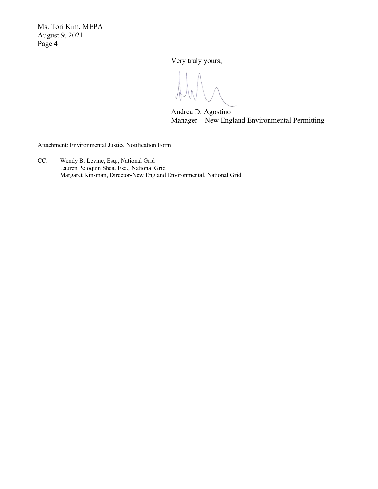Ms. Tori Kim, MEPA August 9, 2021 Page 4

Very truly yours,

Andrea D. Agostino Manager – New England Environmental Permitting

Attachment: Environmental Justice Notification Form

CC: Wendy B. Levine, Esq., National Grid Lauren Peloquin Shea, Esq., National Grid Margaret Kinsman, Director-New England Environmental, National Grid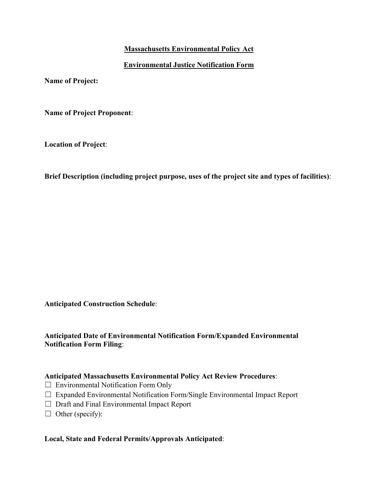# **Massachusetts Environmental Policy Act**

## **Environmental Justice Notification Form**

**Name of Project:** 

**Name of Project Proponent**:

**Location of Project**:

**Brief Description (including project purpose, uses of the project site and types of facilities)**:

**Anticipated Construction Schedule**:

## **Anticipated Date of Environmental Notification Form/Expanded Environmental Notification Form Filing**:

#### **Anticipated Massachusetts Environmental Policy Act Review Procedures**:

- $\Box$  Environmental Notification Form Only
- ☐ Expanded Environmental Notification Form/Single Environmental Impact Report
- ☐ Draft and Final Environmental Impact Report
- $\Box$  Other (specify):

## **Local, State and Federal Permits/Approvals Anticipated**: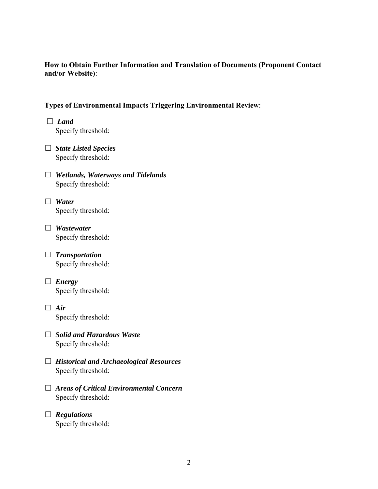#### **How to Obtain Further Information and Translation of Documents (Proponent Contact and/or Website)**:

# **Types of Environmental Impacts Triggering Environmental Review**:

- ☐ *Land* Specify threshold:
- ☐ *State Listed Species* Specify threshold:
- ☐ *Wetlands, Waterways and Tidelands* Specify threshold:
- ☐ *Water* Specify threshold:
- ☐ *Wastewater* Specify threshold:
- ☐ *Transportation* Specify threshold:
- ☐ *Energy* Specify threshold:
- ☐ *Air* Specify threshold:
- ☐ *Solid and Hazardous Waste* Specify threshold:
- ☐ *Historical and Archaeological Resources* Specify threshold:
- ☐ *Areas of Critical Environmental Concern* Specify threshold:
- ☐ *Regulations* Specify threshold: